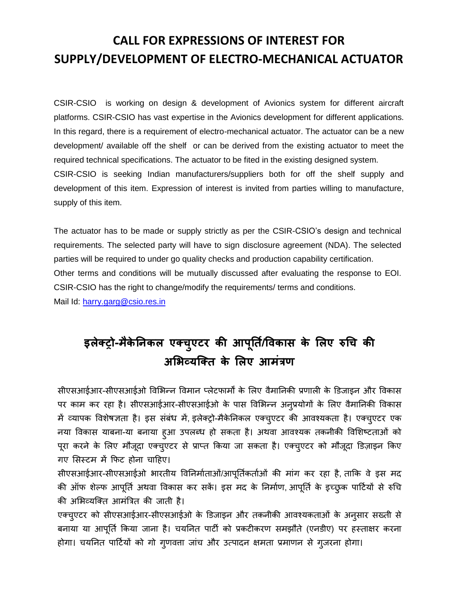## **CALL FOR EXPRESSIONS OF INTEREST FOR SUPPLY/DEVELOPMENT OF ELECTRO-MECHANICAL ACTUATOR**

CSIR-CSIO is working on design & development of Avionics system for different aircraft platforms. CSIR-CSIO has vast expertise in the Avionics development for different applications. In this regard, there is a requirement of electro-mechanical actuator. The actuator can be a new development/ available off the shelf or can be derived from the existing actuator to meet the required technical specifications. The actuator to be fited in the existing designed system. CSIR-CSIO is seeking Indian manufacturers/suppliers both for off the shelf supply and development of this item. Expression of interest is invited from parties willing to manufacture, supply of this item.

The actuator has to be made or supply strictly as per the CSIR-CSIO's design and technical requirements. The selected party will have to sign disclosure agreement (NDA). The selected parties will be required to under go quality checks and production capability certification. Other terms and conditions will be mutually discussed after evaluating the response to EOI. CSIR-CSIO has the right to change/modify the requirements/ terms and conditions. Mail Id: [harry.garg@csio.res.in](mailto:harry.garg@csio.res.in)

# **इलेक्ट्रो-मकैेनिकल एक्ट्च ु एटर की आप ू नत/िविकास के ललए रुचच की अलिव्यक्क्ट्त के ललए आमंत्रण**

सीएसआईआर-सीएसआईओ विभिन्न विमान प्लेटफार्मों के लिए वैमानिकी प्रणाली के डिजाइन और विकास पर काम कर रहा है। सीएसआईआर-सीएसआईओ के पास विभिन्न अनुप्रयोगों के लिए वैमानिकी विकास में व्यापक विशेषज्ञता है। इस संबंध में, इलेक्ट्रो-मैकेननकल एक्ट्चुएटर की आिश्यकता है। एक्ट्चुएटर एक नया विकास याबना-या बनाया ह्आ उपलब्ध हो सकता है। अथवा आवश्यक तकनीकी विशिष्टताओं को पूरा करने के लिए मौजूदा एक्चुएटर से प्राप्त किया जा सकता है। एक्चुएटर को मौजूदा डिज़ाइन किए गए भसस्टम में कफट होना चाहहए।

सीएसआईआर-सीएसआईओ भारतीय विनिर्माताओं/आपूर्तिकर्ताओं की मांग कर रहा है, ताकि वे इस मद की ऑफ शेल्फ आपूर्ति अथवा विकास कर सकें। इस मद के निर्माण, आपूर्ति के इच्छुक पार्टियों से रुचि की अभिव्यक्क्ट्त आमंत्रित की जाती है।

एक्चुएटर को सीएसआईआर-सीएसआईओ के डिजाइन और तकनीकी आवश्यकताओं के अनुसार सख्ती से बनाया या आपूर्ति किया जाना है। चयनित पार्टी को प्रकटीकरण समझौते (एनडीए) पर हस्ताक्षर करना होगा। चयनित पार्टियों को गो गुणवत्ता जांच और उत्पादन क्षमता प्रमाणन से गुजरना होगा।